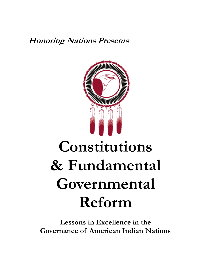**Honoring Nations Presents**



# **Constitutions & Fundamental Governmental Reform**

**Lessons in Excellence in the Governance of American Indian Nations**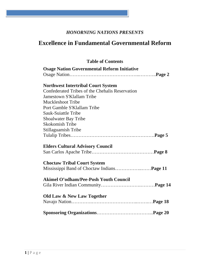## *HONORNING NATIONS PRESENTS*

# **Excellence in Fundamental Governmental Reform**

| <b>Table of Contents</b>                           |
|----------------------------------------------------|
| <b>Osage Nation Governmental Reform Initiative</b> |
|                                                    |
| <b>Northwest Intertribal Court System</b>          |
| Confederated Tribes of the Chehalis Reservation    |
| <b>Jamestown S'Klallam Tribe</b>                   |
| <b>Muckleshoot Tribe</b>                           |
| Port Gamble S'Klallam Tribe                        |
| <b>Sauk-Suiattle Tribe</b>                         |
| <b>Shoalwater Bay Tribe</b>                        |
| <b>Skokomish Tribe</b>                             |
| <b>Stillaguamish Tribe</b>                         |
|                                                    |
| <b>Elders Cultural Advisory Council</b>            |
|                                                    |
| <b>Choctaw Tribal Court System</b>                 |
|                                                    |
| <b>Akimel O'odham/Pee-Posh Youth Council</b>       |
|                                                    |
| Old Law & New Law Together                         |
|                                                    |
|                                                    |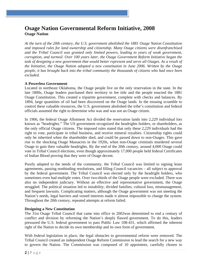## **Osage Nation Governmental Reform Initiative, 2008 Osage Nation**

*At the turn of the 20th century, the U.S. government abolished the 1881 Osage Nation Constitution and imposed rules for land ownership and citizenship. Many Osage citizens were disenfranchised and the Tribal Council was granted only limited powers, leading to years of weak government, corruption, and turmoil. Over 100 years later, the Osage Government Reform Initiative began the task of designing a new government that would better represent and serve all Osages. As a result of the Initiative, the Osage Nation adopted a new constitution in June 2006. Written by the Osage people, it has brought back into the tribal community the thousands of citizens who had once been excluded.* 

#### **A Powerless Government**

Located in northeast Oklahoma, the Osage people live on the only reservation in the state. In the late 1800s, Osage leaders purchased their territory in fee title and the people enacted the 1881 Osage Constitution. This created a tripartite government, complete with checks and balances. By 1894, large quantities of oil had been discovered on the Osage lands. In the ensuing scramble to control these valuable resources, the U.S. government abolished the tribe's constitution and federal officials assumed the right to determine who was and was not an Osage citizen.

In 1906, the federal Osage Allotment Act divided the reservation lands into 2,229 individual lots known as "headrights." The US government recognized the headrights holders, or shareholders, as the only official Osage citizens. The imposed rules stated that only these 2,229 individuals had the right to vote, participate in tribal business, and receive mineral royalties. Citizenship rights could only be inherited when the shareholder died, and could be passed down to non-Osages. This gave rise to the shocking Osage Massacres in the 1920s, when non-Osage criminals murdered several Osage to gain their valuable headrights. By the end of the 20th century, around 4,000 Osage could vote in Tribal Council elections, even though approximately 17,000 people held federal Certificates of Indian Blood proving that they were of Osage decent.

Poorly adapted to the needs of the community, the Tribal Council was limited to signing lease agreements, passing nonbinding resolutions, and filling Council vacancies – all subject to approval by the federal government. The Tribal Council was elected only by the headright holders, who sometimes even had multiple votes. Over two-thirds of the Osage people were excluded. There was also no independent judiciary. Without an effective and representative government, the Osage struggled. The political situation led to instability, divided families, cultural loss, mismanagement, and frequent lawsuits. Complicating matters, although the Osage government was not meeting the Nation's needs, legal barriers and vested interests made it almost impossible to change the system. Throughout the 20th century, repeated attempts at reform failed.

#### **Designing a New Constitution**

The 31st Osage Tribal Council that came into office in 2002was determined to end a century of conflict and division by reforming the Nation's deeply flawed government. To do this, leaders pressured the U.S. federal government to pass Public Law 108-431, which affirmed the inherent right of the Nation to decide its own membership and its own form of government.

With federal legislation in place, the legal obstacles to governmental reform were removed. The Tribal Council created an independent Osage Reform Commission to lead the search for a new way to govern the Nation. The Commission was composed of 10 appointees, carefully chosen to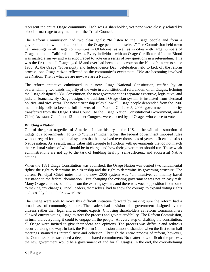represent the entire Osage community. Each was a shareholder, yet none were closely related by blood or marriage to any member of the Tribal Council.

The Reform Commission had two clear goals: "to listen to the Osage people and form a government that would be a product of the Osage people themselves." The Commission held town hall meetings in all Osage communities in Oklahoma, as well as in cities with large numbers of Osage people in California and Texas. Every individual with an Osage Certificate of Indian Blood was mailed a survey and was encouraged to vote on a series of key questions in a referendum. This was the first time all Osage aged 18 and over had been able to vote on the Nation's interests since 1900. At the Osage "Sovereignty and Independence Day" celebration held to kick off the reform process, one Osage citizen reflected on the community's excitement: "We are becoming involved in a Nation. That is what we are now, we are a Nation."

The reform initiative culminated in a new Osage National Constitution, ratified by an overwhelming two-thirds majority of the vote in a constitutional referendum of all Osages. Echoing the Osage-designed 1881 Constitution, the new government has separate executive, legislative, and judicial branches. By Osage design, the traditional Osage clan system is insulated from electoral politics, and vice versa. The new citizenship rules allow all Osage people descended from the 1906 membership rolls to become full citizens of the Nation. On June 5, 2006, governmental authority transferred from the Osage Tribal Council to the Osage Nation Constitutional Government, and a Chief, Assistant Chief, and 12-member Congress were elected by all Osages who chose to vote.

#### **Building a Nation**

One of the great tragedies of American Indian history in the U.S. is the willful destruction of indigenous governments. To try to "civilize" Indian tribes, the federal government imposed rules without regard for the political systems that had evolved over thousands of years to fit each distinct Native nation. As a result, many tribes still struggle to function with governments that do not match their cultural values of who should be in charge and how their government should run. These weak administrations are not up to the task of building healthy, self-sufficient, and successful Native nations.

When the 1881 Osage Constitution was abolished, the Osage Nation was denied two fundamental rights: the right to determine its citizenship and the right to determine its governing structure. The current Principal Chief notes that the new 2006 system was "an intuitive, community-based resistance to the federal domination." But changing the existing government was not an easy task. Many Osage citizens benefited from the existing system, and there was vocal opposition from some to making any changes. Tribal leaders, themselves, had to show the courage to expand voting rights and possibly dilute their power base.

The Osage were able to move this difficult initiative forward by making sure the reform had a broad base of community support. The leaders had a vision of a government designed by the citizens rather than legal and academic experts. Choosing shareholders as reform Commissioners allowed current voting Osage to steer the process and gave it credibility. The Reform Commission, in turn, did everything it could to engage all the people. At every step of drafting the constitution, all Osage were invited to give their ideas and opinions. The process was difficult and setbacks occurred along the way. In fact, the Reform Commission almost disbanded when the first town hall meetings strained its internal trust and cohesion. Through the entire process of reform, however, the Commissioners sustained a deep and shared commitment: No matter how difficult the process, the new government would be a government of and for all Osages. In the end, the overwhelming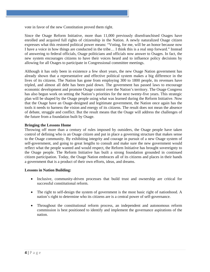vote in favor of the new Constitution proved them right.

Since the Osage Reform Initiative, more than 11,000 previously disenfranchised Osages have enrolled and acquired full rights of citizenship in the Nation. A newly naturalized Osage citizen expresses what this restored political power means: "Voting, for me, will be an honor because now I have a voice in how things are conducted in the tribe… I think this is a real step forward." Instead of answering to federal officials, Osage politicians and officials now answer to Osages. In fact, the new system encourages citizens to have their voices heard and to influence policy decisions by allowing for all Osages to participate in Congressional committee meetings.

Although it has only been in existence a few short years, the new Osage Nation government has already shown that a representative and effective political system makes a big difference in the lives of its citizens. The Nation has gone from employing 300 to 1800 people, its revenues have tripled, and almost all debt has been paid down. The government has passed laws to encourage economic development and promote Osage control over the Nation's territory. The Osage Congress has also begun work on setting the Nation's priorities for the next twenty-five years. This strategic plan will be shaped by the Osage people using what was learned during the Reform Initiative. Now that the Osage have an Osage-designed and legitimate government, the Nation once again has the tools it needs to harness the vision and energy of its citizens. The result does not mean the absence of debate, struggle and conflict. But the result means that the Osage will address the challenges of the future from a foundation built by Osage.

#### **Bringing the Lessons Home**

Throwing off more than a century of rules imposed by outsiders, the Osage people have taken control of defining who is an Osage citizen and put in place a governing structure that makes sense to the Osage community. By exhibiting integrity and courage in pursuit of a new Osage system of self-government, and going to great lengths to consult and make sure the new government would reflect what the people wanted and would respect, the Reform Initiative has brought sovereignty to the Osage people. The Reform Initiative has built a strong foundation grounded in continued citizen participation. Today, the Osage Nation embraces all of its citizens and places in their hands a government that is a product of their own efforts, ideas, and dreams.

- Inclusive, community-driven processes that build trust and ownership are critical for successful constitutional reform.
- The right to self-design the system of government is the most basic right of nationhood. A nation's right to determine who its citizens are is a central power of self-governance.
- Throughout the constitutional reform process, an independent and autonomous reform commission is best positioned to identify and implement the governance aspirations of the nation.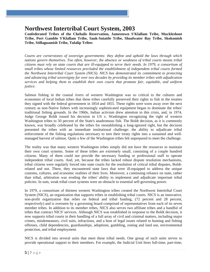## **Northwest Intertribal Court System, 2003**

**Confederated Tribes of the Chehalis Reservation, Jamestown S'Klallam Tribe, Muckleshoot Tribe, Port Gamble S'Klallam Tribe, Sauk-Suiattle Tribe, Shoalwater Bay Tribe, Skokomish Tribe, Stillaguamish Tribe, Tulalip Tribes** 

*Courts are cornerstones of sovereign governments: they define and uphold the laws through which nations govern themselves. Too often, however, the absence or weakness of tribal courts means tribal citizens must rely on state courts that are ill-equipped to serve their needs. In 1979, a consortium of small tribes whose limited resources precluded the establishment of independent tribal courts formed the Northwest Intertribal Court System (NICS). NICS has demonstrated its commitment to protecting and advancing tribal sovereignty for over two decades by providing its member tribes with adjudication services and helping them to establish their own courts that promote fair, equitable, and uniform justice.* 

Salmon fishing in the coastal rivers of western Washington was so critical to the cultures and economies of local Indian tribes that these tribes carefully preserved their rights to fish in the treaties they signed with the federal government in 1854 and 1855. These rights were worn away over the next century as non-Native fishers with increasingly sophisticated equipment began to dominate the tribes' traditional fishing grounds. In the 1960s, Indian activism drew attention to this crisis, and, in 1974, Judge George Boldt issued his decision in US v. Washington recognizing the right of western Washington tribes to 50 percent of the State's anadromous fish. The Boldt decision, as it is commonly known, was broadly celebrated by the tribes for reestablishing a long-ignored right, but the decision presented the tribes with an immediate institutional challenge: the ability to adjudicate tribal enforcement of the fishing regulations necessary to turn their treaty rights into a sustained and wellmanaged harvest of salmon. Quite a few of the Washington tribes felt unprepared to meet the challenge.

The reality was that many western Washington tribes simply did not have the resources to maintain their own court systems. Some of these tribes are extremely small, consisting of a couple hundred citizens. Many of them could not provide the necessary funding or professional staff to operate independent tribal courts. And, yet, because the tribes lacked robust dispute resolution mechanisms, tribal citizens were regularly forced into state courts for the resolution of critical tribal disputes, Boldtrelated and not. There, they encountered state laws that were ill-equipped to address the unique customs, cultures, and economic realities of their lives. Moreover, a continuing reliance on state, rather than tribal, arbitration was eroding the tribes' ability to implement and adjudicate important tribal policies. In sum, weak tribal court systems were an obstacle to essential self-governing power.

In 1979, a consortium of thirteen western Washington tribes created the Northwest Intertribal Court System (NICS), an organization that supports tribes in establishing tribal courts. NICS is an innovative, non-profit organization that relies on federal and tribal funding, (72 percent and 28 percent, respectively) and is overseen by a governing board comprised of representatives from each of its seven member tribes. In addition to its member tribes, NICS also serves two affiliate tribes and a handful of tribes that contract NICS' services. Although NICS was established in response to the Boldt decision, it now supports tribal courts in their handling of a full array of civil and criminal matters, including major crimes, misdemeanors, civil suits, infractions, and a host of legal issues related to hunting and fishing offenses, child dependencies, guardianships, adoptions, gambling, zoning and land use, environmental protection, and tribal employment.

NICS is divided into several units that meet these tribal needs. One group of such units serves to provide operational support to their members. For example, the Judicial Unit hires full-time, part-time,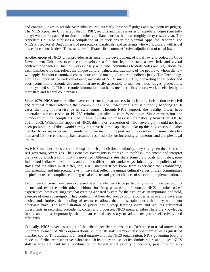and contract judges to preside over tribal courts (currently three staff judges and two contract judges). The NICS Appellate Unit, established in 1987, recruits and trains a roster of appellate judges (currently thirty) who are impaneled on three-member appellate benches that hear roughly thirty cases a year. The Appellate Unit also publishes a compilation of its decisions in the biennial Appellate Reporter. The NICS Prosecutorial Unit consists of prosecutors, paralegals, and assistants who work closely with tribal law enforcement leaders. These services facilitate tribal courts' effective adjudication of tribal law.

Another group of NICS' units provides assistance in the development of tribal law and codes. Its Code Development Unit consists of a code developer, a full-time legal assistant, a law clerk, and several contract code writers. This unit works closely with tribal committees to draft codes and regulations for each member tribe that reflect the unique culture, values, and traditions of the people to whom the law will apply. Without customized codes, courts could not adjudicate tribal policies justly. The Technology Unit has supported the code-developing mandate of NICS since 2001 by converting tribal codes and court forms into electronic documents that are easily accessible to member tribes' judges, prosecutors, attorneys, and staff. This electronic information also helps member tribes' courts work as efficiently as their state and federal counterparts.

Since 1979, NICS member tribes have experienced great success in reclaiming jurisdiction over civil and criminal matters affecting their communities. The Prosecutorial Unit is currently handling 1,910 cases that might otherwise be in state courts. Through NICS support, the Tulalip Tribes have undertaken a retrocession of PL 280 criminal jurisdiction from Washington. Since retrocession, the number of criminal complaints filed in Tulalip's tribal court has risen dramatically from 56 in 2001 to 262 in 2002. Without the support of NICS, this major reassertion of tribal sovereignty would not have been possible: the Tribes would simply not have had the capacity to take up this new caseload. Other member tribes are experiencing similar empowerment. In the past year, the caseload for some tribes has increased 100 percent as they have assumed responsibility for increasingly numerous and complex legal issues.

As NICS member tribes assert and expand their jurisdictional authority, they strengthen their status as self-governing sovereigns. The essence of sovereignty is the right to establish, implement, and interpret the laws by which a community is governed. Although states share some civic goals with tribes, non-Indian and Indian values, norms, and cultures differ in substantial ways. Inherently, the policies of the states and the tribes must differ, too. NICS member tribes know from experience that establishing, implementing, and interpreting laws in ways that reflect the unique cultural values of their communities inspires increased compliance among tribal citizens and greater chances of success in implementation.

Legitimate concerns have been expressed over the whether a tribe particularly a small tribe can pool its talents and resources with others without forfeiting a measure of control. NICS' member tribes' experiences, however, suggests that creating a shared system for their courts as an important, and bold, exercise of their sovereignty. They contend that their decision to pool resources is, in itself, a sovereign choice and, further, that pooling of resources allows them to sustain courts that they would not otherwise have. The administration of justice has a steep learning curve and requires substantial investments in recording precedents, codes, and processes. NICS member tribes share the knowledge, funds, and, most importantly, the human capital necessary to administer justice effectively and efficiently.

Critically, NICS never loses sight of the tribes' specific circumstances. Deference to tribal norms is an important element of NICS organizational culture. Its staff members describe themselves as guests of member courts. This attitude is a natural outgrowth of the NICS organization: NICS governing board is made up of tribal representatives who establish its policy and select its administrators and judges; NICS staff salaries are paid by a combination of federal tribal priority allocations, pass through self-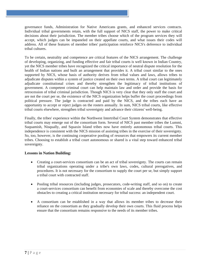governance funds, Administration for Native Americans grants, and enhanced services contracts. Individual tribal governments retain, with the full support of NICS staff, the power to make critical decisions about their jurisdiction. The member tribes choose which of the program services they will accept, which judges can be impaneled on their appellate courts, and what issues their codes will address. All of these features of member tribes' participation reinforce NICS's deference to individual tribal cultures.

To be certain, neutrality and competence are critical features of the NICS arrangement. The challenge of developing, organizing, and funding effective and fair tribal courts is well known in Indian Country, yet the NICS member tribes have recognized the critical importance of neutral dispute resolution for the health of Indian nations and built an arrangement that provides it. A tribal court similar to the ones supported by NICS, whose basis of authority derives from tribal values and laws, allows tribes to adjudicate disputes within a system of justice created on their own terms. A tribal court can legitimately adjudicate constitutional crises and thereby strengthen the legitimacy of tribal institutions of government. A competent criminal court can help maintain law and order and provide the basis for retrocession of tribal criminal jurisdiction. Though NICS is very clear that they only staff the court and are not the court per se, the existence of the NICS organization helps buffer the court proceedings from political pressure. The judge is contracted and paid by the NICS, and the tribes each have an opportunity to accept or reject judges on the rosters annually. In sum, NICS tribal courts, like effective tribal courts elsewhere, strengthen tribal sovereignty and advance their citizens' well-being.

Finally, the tribes' experience within the Northwest Intertribal Court System demonstrates that effective tribal courts may emerge out of the consortium form. Several of NICS past member tribes the Lummi, Suquamish, Nisqually, and Squaxin Island tribes now have entirely autonomous tribal courts. This independence is consistent with the NICS mission of assisting tribes in the exercise of their sovereignty. So, too, however, is the continuing cooperative pooling of resources that empowers its current member tribes. Choosing to establish a tribal court autonomous or shared is a vital step toward enhanced tribal sovereignty.

- Creating a court-services consortium can be an act of tribal sovereignty. The courts can remain tribal organizations operating under a tribe's own laws, codes, cultural prerogatives, and procedures. It is not necessary for the consortium to supply the court per se, but simply support a tribal court with contracted staff.
- Pooling tribal resources (including judges, prosecutors, code-writing staff, and so on) to create a court-services consortium can benefit from economies of scale and thereby overcome the cost obstacles to creating a critical institution necessary for tribal success: an independent court.
- A consortium can be established in a way that allows its member tribes to decrease their reliance on the consortium as they gradually develop their own courts. This fluid process helps ensure that the consortium remains responsive to the needs of its member tribes.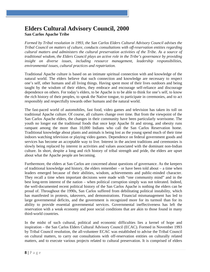## **Elders Cultural Advisory Council, 2000 San Carlos Apache Tribe**

*Formed by Tribal resolution in 1993, the San Carlos Elders Cultural Advisory Council advises the Tribal Council on matters of culture, conducts consultations with off-reservation entities regarding cultural matters and administers the cultural preservation activities of the Tribe. As a source of traditional wisdom, the Elders Council plays an active role in the Tribe's governance by providing insight on diverse issues, including resource management, leadership responsibilities, environmental issues, cultural practices and repatriation.* 

Traditional Apache culture is based on an intimate spiritual connection with and knowledge of the natural world. The elders believe that such connection and knowledge are necessary to respect one's self, other humans and all living things. Having spent most of their lives outdoors and being taught by the wisdom of their elders, they embrace and encourage self-reliance and discourage dependence on others. For today's elders, to be Apache is to be able to think for one's self, to know the rich history of their peoples, to speak the Native tongue, to participate in ceremonies, and to act responsibly and respectfully towards other humans and the natural world.

The fast-paced world of automobiles, fast food, video games and television has taken its toll on traditional Apache culture. Of course, all cultures change over time. But from the viewpoint of the San Carlos Apache elders, the changes in their community have been particularly worrisome. The youth no longer eat the traditional foods that once kept Apache fit and strong, and obesity runs rampant among the more than 10,000 Indians who call the San Carlos Reservation home. Traditional knowledge about plants and animals is being lost as the young spend much of their time indoors watching television or playing video games. Dependence on federal government goods and services has become an acceptable way to live. Interest in the ancient traditions and ceremonies is slowly being replaced by interest in activities and values associated with the dominant non-Indian culture. In short, despite a long and rich history of tribal strength and pride, the elders are upset about what the Apache people are becoming.

Furthermore, the elders at San Carlos are concerned about questions of governance. As the keepers of traditional knowledge and history, the elders remember – or have been told about – a time when leaders emerged because of their abilities, wisdom, achievements and public-minded character. They recall a time when important decisions were made with "one community mind" and in the best long-term interest of the nation – when political corruption simply was not tolerated. Indeed, the well-documented recent political history of the San Carlos Apache is nothing the elders can be proud of. Throughout the 1990s, San Carlos suffered from debilitating political instability, which has manifested in protests, takeovers, and demonstrations. Financial mismanagement has led to large governmental deficits, and the government is recognized more for its turmoil than for its ability to provide essential governmental services. Governmental ineffectiveness has left the reservation with a weak economy and poor social conditions that are akin to those found in many third-world countries.

In the midst of such cultural, political and economic difficulties lies a kernel of hope and inspiration – the San Carlos Elders Cultural Advisory Council (ECAC). Formed in November 1993 by Tribal Council resolution, the all-volunteer ECAC was established to advise the Tribal Council on cultural matters, to carry out consultations with off-reservation entities on culturally related matters, and to execute various projects related to cultural preservation. It is comprised of elders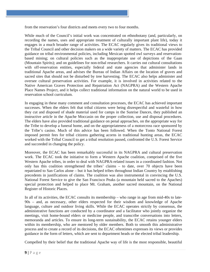from the reservation's four districts and meets every two to four months.

While much of the Council's initial work was concentrated on ethnobotany (and, particularly, on recording the names, uses and appropriate treatment of culturally important plant life), today it engages in a much broader range of activities. The ECAC regularly gives its traditional views to the Tribal Council and other decision makers on a wide variety of matters. The ECAC has provided guidance on tribal environmental policies, including Mexican spotted owl surveys and reservationbased mining; on cultural policies such as the inappropriate use of depictions of the Gaan (Mountain Spirits); and on guidelines for non-tribal researchers. It carries out cultural consultations with off-reservation entities, especially federal and state agencies that administer lands in traditional Apache areas, and advises the Bureau of Indian Affairs on the location of graves and sacred sites that should not be disturbed by tree harvesting. The ECAC also helps administer and oversee cultural preservation activities. For example, it is involved in activities related to the Native American Graves Protection and Repatriation Act (NAGPRA) and the Western Apache Place Names Project, and it helps collect traditional information on the natural world to be used in reservation school curriculum.

In engaging in these many comment and consultation processes, the ECAC has achieved important successes. When the elders felt that tribal citizens were being disrespectful and wasteful in how they cut and disposed of shade material used for camps in the Sunrise Dances, they published an instructive article in the Apache Moccasin on the proper collection, use and disposal procedures. The elders have also provided traditional guidance on penal approaches, on the appropriate way for the Tribe to develop a funeral home, and on the appropriateness of a motorcross race sponsored by the Tribe's casino. Much of this advice has been followed. When the Tonto National Forest imposed permit fees for tribal citizens gathering acorns in traditional hunting areas, the ECAC worked with the Tribal Council to get a tribal resolution passed, confronted the U.S. Forest Service and succeeded in changing the policy.

Moreover, the ECAC has been remarkably successful in its NAGPRA and cultural preservation work. The ECAC took the initiative to form a Western Apache coalition, comprised of the five Western Apache tribes, in order to deal with NAGPRA-related issues in a coordinated fashion. Not only has this coalition strengthened the tribes' claims – to date, over 70 objects have been repatriated to San Carlos alone – but it has helped tribes throughout Indian Country by establishing precedents in justifications of claims. The coalition was also instrumental in convincing the U.S. National Forest Service to give the San Francisco Peaks (a mountain held sacred to the Apaches) special protection and helped to place Mt. Graham, another sacred mountain, on the National Register of Historic Places.

In all of its activities, the ECAC consults its membership – who range in age from mid-40s to late-90s – and, as necessary, other elders respected for their wisdom and knowledge of Apache language, culture and outdoor living skills. While the ECAC operates strictly by consensus, the administrative functions are conducted by a coordinator and a facilitator who jointly organize the meetings, visit home-bound elders or medicine people, and transcribe conversations into letters, memoranda and articles. To ensure its long-term sustainability, the ECAC retains younger elders within its membership, who are mentored by older members. Both to smooth this administrative process and to create a record of its decisions, the ECAC oftentimes expresses its views or provides guidance in the form of letters, which are sent to department heads or the elected tribal leadership.

Compelled by their belief that the traditional Apache way of life is the most responsible, beautiful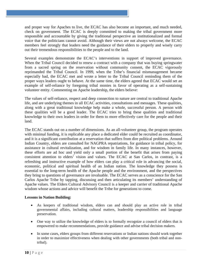and proper way for Apaches to live, the ECAC has also become an important, and much needed, check on government. The ECAC is deeply committed to making the tribal government more responsible and accountable by giving the traditional perspective an institutionalized and formal voice that the politicians cannot avoid. Although their views are not always welcome, the ECAC members feel strongly that leaders need the guidance of their elders to properly and wisely carry out their tremendous responsibilities to the people and to the land.

Several examples demonstrate the ECAC's interventions in support of improved governance. When the Tribal Council decided to renew a contract with a company that was buying springwater from a sacred spring on the reservation without community consent, the ECAC vigorously reprimanded the Tribal Council. In 1999, when the Tribe's financial mismanagement became especially bad, the ECAC met and wrote a letter to the Tribal Council reminding them of the proper ways leaders ought to behave. At the same time, the elders agreed that ECAC would set an example of self-reliance by foregoing tribal monies in favor of operating as a self-sustaining volunteer entity. Commenting on Apache leadership, the elders believe:

The values of self-reliance, respect and deep connection to nature are central to traditional Apache life, and are underlying themes in all ECAC activities, consultations and messages. These qualities, along with a great traditional knowledge help make a whole, successful person. A person with these qualities will be a good leader. The ECAC tries to bring these qualities and traditional knowledge to their own leaders in order for them to more effectively care for the people and their land.

The ECAC stands out on a number of dimensions. As an all-volunteer group, the program operates with minimal funding, it is replicable any place a dedicated elder could be recruited as coordinator, and it is a significant contribution at a reservation that suffers from dire political problems. Around Indian Country, elders are consulted for NAGPRA repatriations, for guidance in tribal policy, for assistance in cultural revitalization, and for wisdom in family life. In many instances, however, these efforts are ad hoc and yield only a small portion of the benefit that arises from paying consistent attention to elders' vision and values. The ECAC at San Carlos, in contrast, is a refreshing and instructive example of how elders can play a critical role in advancing the social, economic, political and spiritual health of an Indian nation. The knowledge they possess is essential to the long-term health of the Apache people and the environment, and the perspectives they bring to questions of governance are invaluable. The ECAC serves as a conscience for the San Carlos Apache Tribe by tapping, discussing and then articulating its members' understanding of Apache values. The Elders Cultural Advisory Council is a keeper and carrier of traditional Apache wisdom whose actions and advice will benefit the Tribe for generations to come.

- As keepers of traditional wisdom, elders can and should play an active role in tribal governmental affairs, including cultural matters, leadership responsibilities and language preservation.
- One way to utilize the knowledge of elders is to formally recognize a council of elders that is empowered to make recommendations, provide guidance and advise tribal decision makers.
- In some cases, elders groups from different reservations or Indian nations should work together in order to maximize effectiveness when dealing with other governments (both tribal and nontribal).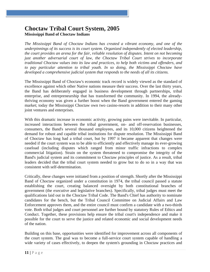## **Choctaw Tribal Court System, 2005 Mississippi Band of Choctaw Indians**

*The Mississippi Band of Choctaw Indians has created a vibrant economy, and one of the underpinnings of its success is its court system. Organized independently of elected leadership, the court provides an arena for the fair, reliable resolution of disputes. Intent on not becoming just another adversarial court of law, the Choctaw Tribal Court strives to incorporate traditional Choctaw values into its law and practices, to help both victims and offenders, and to pay particular attention to tribal youth. In so doing, the Mississippi Choctaw have developed a comprehensive judicial system that responds to the needs of all its citizens.* 

The Mississippi Band of Choctaw's economic track record is widely viewed as the standard of excellence against which other Native nations measure their success. Over the last thirty years, the Band has deliberately engaged in business development through partnerships, tribal enterprise, and entrepreneurship that has transformed the community. In 1994, the alreadythriving economy was given a further boost when the Band government entered the gaming market; today the Mississippi Choctaw own two casino-resorts in addition to their many other joint ventures and enterprises.

With this dramatic increase in economic activity, growing pains were inevitable. In particular, increased interactions between the tribal government, on- and off-reservation businesses, consumers, the Band's several thousand employees, and its 10,000 citizens heightened the demand for robust and capable tribal institutions for dispute resolution. The Mississippi Band of Choctaw has long had a tribal court, but by 1997 it became apparent that changes were needed if the court system was to be able to efficiently and effectively manage its ever-growing caseload (including disputes which ranged from minor traffic infractions to complex commercial litigation). Strain on the system threatened to compromise the integrity of the Band's judicial system and its commitment to Choctaw principles of justice. As a result, tribal leaders decided that the tribal court system needed to grow but to do so in a way that was consistent with self-determination.

Critically, these changes were initiated from a position of strength. Shortly after the Mississippi Band of Choctaw organized under a constitution in 1974, the tribal council passed a statute establishing the court, creating balanced oversight by both constitutional branches of government (the executive and legislative branches). Specifically, tribal judges must meet the qualifications laid out in the Choctaw Tribal Code. The Band's Chief has authority to nominate candidates for the bench, but the Tribal Council Committee on Judicial Affairs and Law Enforcement approves them, and the entire council must confirm a candidate with a two-thirds vote. Both tribal judges and court personnel are further bound by statutory Rules of Ethics and Conduct. Together, these provisions help ensure the tribal court's independence and make it possible for the court to serve the justice and related economic and social development needs of the nation.

Building on this base, opportunities were identified for improvement across all components of the court system. The goal was to become a full-service court system capable of handling a wide variety of cases effectively, to deepen the system's grounding in Choctaw practices and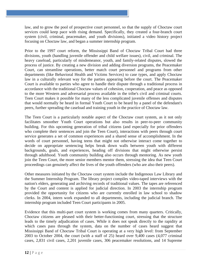law, and to grow the pool of prospective court personnel, so that the supply of Choctaw court services could keep pace with rising demand. Specifically, they created a four-branch court system (civil, criminal, peacemaker, and youth divisions), initiated a video history project focusing on Choctaw law, and began a summer internship program.

Prior to the 1997 court reform, the Mississippi Band of Choctaw Tribal Court had three divisions, youth (handling juvenile offender and child welfare issues), civil, and criminal. The heavy caseload, particularly of misdemeanor, youth, and family-related disputes, slowed the process of justice. By creating a new division and adding diversion programs, the Peacemaker Court, can streamline operations, better match court personnel and programs from other departments (like Behavioral Health and Victims Services) to case types, and apply Choctaw law in a culturally relevant way for the parties appearing before the court. The Peacemaker Court is available to parties who agree to handle their dispute through a traditional process in accordance with the traditional Choctaw values of cohesion, cooperation, and peace as opposed to the more Western and adversarial process available in the tribe's civil and criminal courts. Teen Court makes it possible for many of the less complicated juvenile offenses and disputes that would normally be heard in formal Youth Court to be heard by a panel of the defendant's peers, further spreading the caseload and training youth in the practice of Choctaw law.

The Teen Court is a particularly notable aspect of the Choctaw court system, as it not only facilitates smoother Youth Court operations but also results in peer-to-peer community building. For this upcoming generation of tribal citizens (and especially for prior offenders who complete their sentences and join the Teen Court), interactions with peers through court service generates a set of common experiences and a shared sense of accomplishment. In the words of court personnel, having teens that might not otherwise interact come together to decide on appropriate sentencing helps break down walls between youth with different backgrounds, goals, and experiences, heading off divisions that might otherwise persist through adulthood. Youth community building also occurs through mentoring. As new youth join the Teen Court, the more senior members mentor them, stressing the idea that Teen Court proceedings can genuinely affect the lives of the youth offenders (who are also their peers).

Other measures initiated by the Choctaw court system include the Indigenous Law Library and the Summer Internship Program. The library project compiles video-taped interviews with the nation's elders, generating and archiving records of traditional values. The tapes are referenced by the Court and content is applied for judicial direction. In 2003 the internship program provided the opportunity for citizens who are currently enrolled in law school to shadow clerks. In 2004, intern work expanded to all departments, including the judicial branch. The internship program included Teen Court participants in 2005.

Evidence that this multi-part court system is working comes from many quarters. Critically, Choctaw citizens are pleased with their better-functioning court, stressing that the structure leads to the timely adjudication of cases. While it does not speak directly to the rapidity at which cases pass through the system, data on the number of cases heard suggest that Mississippi Band of Choctaw Tribal Court is operating at a very high level: from September 2003 to October 2004, the court (with a staff of 25) heard over 9,400 cases (4,077 criminal cases, 2,831 civil cases, 2,201 juvenile cases, 306 peacemaker resolutions, and 14 Supreme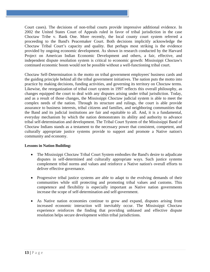Court cases). The decisions of non-tribal courts provide impressive additional evidence. In 2002 the United States Court of Appeals ruled in favor of tribal jurisdiction in the case Choctaw Tribe v. Bank One. More recently, the local county court system referred a proceeding to the Band's Peacemaker Court. Both decisions implicitly acknowledge the Choctaw Tribal Court's capacity and quality. But perhaps most striking is the evidence provided by ongoing economic development. As shown in research conducted by the Harvard Project on American Indian Economic Development and others, a fair, effective, and independent dispute resolution system is critical to economic growth: Mississippi Choctaw's continued economic boom would not be possible without a well-functioning tribal court.

Choctaw Self-Determination is the motto on tribal government employees' business cards and the guiding principle behind all the tribal government initiatives. The nation puts the motto into practice by making decisions, funding activities, and governing its territory on Choctaw terms. Likewise, the reorganization of tribal court system in 1997 reflects this overall philosophy, as changes equipped the court to deal with any disputes arising under tribal jurisdiction. Today, and as a result of those changes, the Mississippi Choctaw judicial system is able to meet the complex needs of the nation. Through its structure and rulings, the court is able provide assurance to business interests, tribal citizens and families, and neighboring communities that the Band and its judicial institutions are fair and equitable to all. And, it is a fundamental, everyday mechanism by which the nation demonstrates its ability and authority to advance tribal self-determination and development. The Tribal Court System of the Mississippi Band of Choctaw Indians stands as a testament to the necessary power that consistent, competent, and culturally appropriate justice systems provide to support and promote a Native nation's community and economy.

- The Mississippi Choctaw Tribal Court System embodies the Band's desire to adjudicate disputes in self-determined and culturally appropriate ways. Such justice systems complement tribal norms and values and reinforce a Native nation's overall efforts to deliver effective governance.
- Progressive tribal justice systems are able to adapt to the evolving demands of their communities while still protecting and promoting tribal values and customs. This competence and flexibility is especially important as Native nation governments increase the scope of self-determination and self-government.
- As Native nation economies continue to grow and expand, disputes arising from increased economic interaction will inevitably occur. The Mississippi Choctaw experience reinforces the finding that providing unbiased and effective dispute resolution helps secure development within tribal jurisdictions.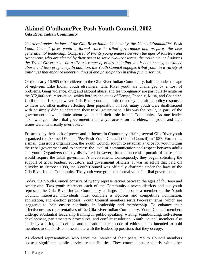## **Akimel O'odham/Pee-Posh Youth Council, 2002 Gila River Indian Community**

*Chartered under the laws of the Gila River Indian Community, the Akimel O'odham/Pee-Posh Youth Council gives youth a formal voice in tribal governance and prepares the next generation of leadership. Comprised of twenty young leaders between the ages of fourteen and twenty-one, who are elected by their peers to serve two-year terms, the Youth Council advises the Tribal Government on a diverse range of issues including youth delinquency, substance abuse, and teen pregnancy. In addition, the Youth Council engages tribal youth in a variety of initiatives that enhance understanding of and participation in tribal public service.* 

Of the nearly 16,985 tribal citizens in the Gila River Indian Community, half are under the age of eighteen. Like Indian youth elsewhere, Gila River youth are challenged by a host of problems. Gang violence, drug and alcohol abuse, and teen pregnancy are particularly acute on the 372,000-acre reservation, which borders the cities of Tempe, Phoenix, Mesa, and Chandler. Until the late 1980s, however, Gila River youth had little or no say in crafting policy responses to these and other matters affecting their population. In fact, many youth were disillusioned with or simply didn't understand their tribal government. This was the result, in part, of the government's own attitude about youth and their role in the Community. As one leader acknowledged, "the tribal government has always focused on the elders, but youth and their issues were historically overlooked."

Frustrated by their lack of power and influence in Community affairs, several Gila River youth organized the Akimel O'odham/Pee-Posh Youth Council (Youth Council) in 1987. Formed as a small, grassroots organization, the Youth Council sought to establish a voice for youth within the tribal government and to increase the level of communication and respect between adults and youth. Organizers quickly discovered, however, that the successful pursuit of these goals would require the tribal government's involvement. Consequently, they began soliciting the support of tribal leaders, educators, and government officials. It was an effort that paid off quickly: In October 1988, the Youth Council was officially chartered under the laws of the Gila River Indian Community. The youth were granted a formal voice in tribal government.

Today, the Youth Council consists of twenty representatives between the ages of fourteen and twenty-one. Two youth represent each of the Community's seven districts and six youth represent the Gila River Indian Community at large. To become a member of the Youth Council, interested individuals must complete a rigorous and competitive nomination, application, and election process. Youth Council members serve two-year terms, which are staggered to help ensure continuity in leadership and membership. To enhance their effectiveness as representatives of the Gila River Indian Community, Youth Council members undergo substantial leadership training in public speaking, writing, teambuilding, self-esteem development, parliamentary procedures, and conflict resolution. Youth Council members also abide by a strict, self-defined and self-administered code of ethics that is intended to hold members to standards commensurate with the leadership positions that they occupy.

As elected representatives who serve the interest of their peers, Youth Council members possess significant public service responsibilities. They communicate regularly with other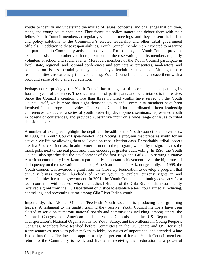youths to identify and understand the myriad of issues, concerns, and challenges that children, teens, and young adults encounter. They formulate policy stances and debate them with their fellow Youth Council members at regularly scheduled meetings, and they present their ideas and policy solutions to the Community's elected leadership and other tribal government officials. In addition to these responsibilities, Youth Council members are expected to organize and participate in Community activities and events. For instance, the Youth Council provides technical assistance to other youth organizations on the reservation, and its members regularly volunteer at school and social events. Moreover, members of the Youth Council participate in local, state, regional, and national conferences and seminars as presenters, moderators, and panelists on issues pertaining to youth and youth/adult relationships. Although these responsibilities are extremely time-consuming, Youth Council members embrace them with a profound sense of duty and appreciation.

Perhaps not surprisingly, the Youth Council has a long list of accomplishments spanning its fourteen years of existence. The sheer number of participants and beneficiaries is impressive. Since the Council's creation, more than three hundred youths have served on the Youth Council itself, while more than eight thousand youth and Community members have been involved in its program activities. The Youth Council has coordinated fifteen leadership conferences, conducted a series of youth leadership development seminars, represented youth in dozens of conferences, and provided substantive input on a wide range of issues to tribal decision makers.

A number of examples highlight the depth and breadth of the Youth Council's achievements. In 1993, the Youth Council spearheaded Kids Voting, a program that prepares youth for an active civic life by allowing them to "vote" on tribal election days. Remarkably, tribal leaders credit a 7 percent increase in adult voter turnout to the program, which, by design, locates the mock polls next to the real polls and, thus, encourages greater adult voting. In 1996, the Youth Council also spearheaded the development of the first Boys and Girls Club serving a Native American community in Arizona, a particularly important achievement given the high rates of delinquency on the reservation and among American Indians in Arizona generally. In 1998, the Youth Council was awarded a grant from the Close Up Foundation to develop a program that annually brings together hundreds of Native youth to explore citizens' rights in and responsibilities for tribal government. In 2001, the Youth Council's continuing advocacy for a teen court met with success when the Judicial Branch of the Gila River Indian Community received a grant from the US Department of Justice to establish a teen court aimed at reducing, controlling, and preventing crime among Gila River Indian youth.

Importantly, the Akimel O'odham/Pee-Posh Youth Council is producing and grooming leaders. A testament to the quality training they receive, Youth Council members have been elected to serve on numerous national boards and commissions including, among others, the National Congress of American Indians Youth Commission, the US Department of Transportation's National Organizations for Youth Safety, and the Millennium Young People's Congress. Members have testified before Committees in the US Senate and US House of Representatives, met with policymakers to lobby on issues of importance, and attended White House functions. The fact that approximately 90 percent of former Youth Council members return to the Community to work and live after receiving their education is a powerful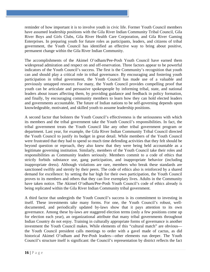reminder of how important it is to involve youth in civic life. Former Youth Council members have assumed leadership positions with the Gila River Indian Community Tribal Council, Gila River Boys and Girls Clubs, Gila River Health Care Corporation, and Gila River Gaming Enterprises. In preparing youth for future roles as participants, leaders, and citizens of tribal government, the Youth Council has identified an effective way to bring about positive, permanent change within the Gila River Indian Community.

The accomplishments of the Akimel O'odham/Pee-Posh Youth Council have earned them widespread admiration and respect on and off-reservation. Three factors appear to be powerful indicators of the Youth Council's success. The first is the Community's recognition that youth can and should play a critical role in tribal governance. By encouraging and fostering youth participation in tribal government, the Youth Council has made use of a valuable and previously untapped resource. For many, the Youth Council provides compelling proof that youth can be articulate and persuasive spokespeople by informing tribal, state, and national leaders about issues affecting them, by providing guidance and feedback in policy formation, and finally, by encouraging community members to learn how they can hold elected leaders and governments accountable. The future of Indian nations to be self-governing depends upon knowledgeable, motivated, and skilled youth to assume leadership positions.

A second factor that bolsters the Youth Council's effectiveness is the seriousness with which its members and the tribal government take the Youth Council's responsibilities. In fact, the tribal government treats the Youth Council like any other tribal government program or department. Last year, for example, the Gila River Indian Community Tribal Council directed the Youth Council to justify its budget in great detail. While members of the Youth Council were frustrated that they had to spend so much time defending activities that they felt should be beyond question or reproach, they also knew that they were being held accountable as a legitimate governing institution. Similarly, members of the Youth Council take their roles and responsibilities as Community leaders seriously. Members commit to a code of ethics that strictly forbids substance use, gang participation, and inappropriate behavior (including inappropriate dress). Although violations are rare, members who break these standards are sanctioned swiftly and sternly by their peers. The code of ethics also is reinforced by a shared demand for excellence: by setting the bar high for their own participation, the Youth Council proves to its members and others that they can live exemplary lives. Adults in the Community have taken notice. The Akimel O'odham/Pee-Posh Youth Council's code of ethics already is being replicated within the Gila River Indian Community tribal government.

A third factor that undergirds the Youth Council's success is its commitment to investing in itself. These investments take many forms. For one, the Youth Council's robust, welldocumented, and periodically updated by-laws show that it pays attention to its own governance. Among these by-laws are staggered election terms (only a few positions come up for election each year), an organizational attribute that many tribal governments throughout Indian Country do not enjoy. Training in culturally appropriate forms of governance is another investment the Youth Council makes. While elements of this "cultural match" are obvious the Youth Council president calls meetings to order with a gavel made of cactus, as did historical Akimel O'odham and Pee-Posh leaders—other elements run deeper. The Youth Council's structure itself is significant: the Council's representation by district reflects the fact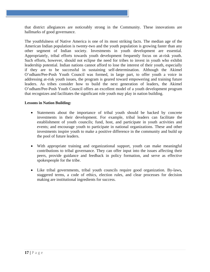that district allegiances are noticeably strong in the Community. These innovations are hallmarks of good governance.

The youthfulness of Native America is one of its most striking facts. The median age of the American Indian population is twenty-two and the youth population is growing faster than any other segment of Indian society. Investments in youth development are essential. Appropriately, tribal efforts towards youth development frequently focus on at-risk youth. Such efforts, however, should not eclipse the need for tribes to invest in youth who exhibit leadership potential. Indian nations cannot afford to lose the interest of their youth, especially if they are to be successful in sustaining self-determination. Although the Akimel O'odham/Pee-Posh Youth Council was formed, in large part, to offer youth a voice in addressing at-risk youth issues, the program is geared toward empowering and training future leaders. As tribes consider how to build the next generation of leaders, the Akimel O'odham/Pee-Posh Youth Council offers an excellent model of a youth development program that recognizes and facilitates the significant role youth may play in nation building.

- Statements about the importance of tribal youth should be backed by concrete investments in their development. For example, tribal leaders can facilitate the establishment of youth councils; fund, host, and participate in youth activities and events; and encourage youth to participate in national organizations. These and other investments inspire youth to make a positive difference in the community and build up the pool of future leaders.
- With appropriate training and organizational support, youth can make meaningful contributions to tribal governance. They can offer input into the issues affecting their peers, provide guidance and feedback in policy formation, and serve as effective spokespeople for the tribe.
- Like tribal governments, tribal youth councils require good organization. By-laws, staggered terms, a code of ethics, election rules, and clear processes for decision making are institutional ingredients for success.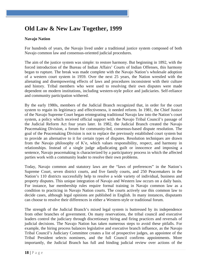# **Old Law & New Law Together, 1999**

#### **Navajo Nation**

For hundreds of years, the Navajo lived under a traditional justice system composed of both Navajo common law and consensus-oriented judicial procedures.

The aim of the justice system was simple: to restore harmony. But beginning in 1892, with the forced introduction of the Bureau of Indian Affairs' Courts of Indian Offenses, this harmony began to rupture. The break was made complete with the Navajo Nation's wholesale adoption of a western court system in 1959. Over the next 25 years, the Nation wrestled with the alienating and disempowering effects of laws and procedures inconsistent with their culture and history. Tribal members who were used to resolving their own disputes were made dependent on modern institutions, including western-style police and judiciaries. Self-reliance and community participation withered.

By the early 1980s, members of the Judicial Branch recognized that, in order for the court system to regain its legitimacy and effectiveness, it needed reform. In 1981, the Chief Justice of the Navajo Supreme Court began reintegrating traditional Navajo law into the Nation's court system, a policy which received official support with the Navajo Tribal Council's passage of the Judicial Reform Act four years later. In 1982, the Judicial Branch created the Navajo Peacemaking Division, a forum for community-led, consensus-based dispute resolution. The goal of the Peacemaking Division is not to replace the previously established court system but to provide an alternative to it for certain types of disputes. Resolution techniques are drawn from the Navajo philosophy of K'e, which values responsibility, respect, and harmony in relationships. Instead of a single judge adjudicating guilt or innocence and imposing a sentence, Navajo peacemaking is characterized by a participatory process in which the affected parties work with a community leader to resolve their own problems.

Today, Navajo common and statutory laws are the "laws of preferences" in the Nation's Supreme Court, seven district courts, and five family courts, and 250 Peacemakers in the Nation's 110 districts successfully help to resolve a wide variety of individual, business and property disputes. This unique integration of Navajo and Western law occurs on a daily basis. For instance, bar membership rules require formal training in Navajo common law as a condition to practicing in Navajo Nation courts. The courts actively use this common law to decide cases, although legal opinions are published in English. In many instances, disputants can choose to resolve their differences in either a Western-style or traditional forum.

The strength of the Judicial Branch's mixed legal system is buttressed by its independence from other branches of government. On many reservations, the tribal council and executive leaders control the judiciary through discretionary hiring and firing practices and reversals of judicial decisions. The Navajo Nation has taken numerous steps to avoid these pitfalls. For example, the hiring process balances legislative and executive branch influence, as the Navajo Tribal Council's Judiciary Committee creates a list of prospective judges, an appointee of the Tribal President selects nominees, and the full Council confirms appointments. More importantly, the Judicial Branch has full and binding judicial review over actions of the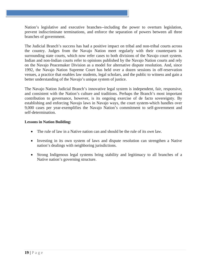Nation's legislative and executive branches--including the power to overturn legislation, prevent indiscriminate terminations, and enforce the separation of powers between all three branches of government.

The Judicial Branch's success has had a positive impact on tribal and non-tribal courts across the country. Judges from the Navajo Nation meet regularly with their counterparts in surrounding state courts, which now refer cases to both divisions of the Navajo court system. Indian and non-Indian courts refer to opinions published by the Navajo Nation courts and rely on the Navajo Peacemaker Division as a model for alternative dispute resolution. And, since 1992, the Navajo Nation Supreme Court has held over a dozen sessions in off-reservation venues, a practice that enables law students, legal scholars, and the public to witness and gain a better understanding of the Navajo's unique system of justice.

The Navajo Nation Judicial Branch's innovative legal system is independent, fair, responsive, and consistent with the Nation's culture and traditions. Perhaps the Branch's most important contribution to governance, however, is its ongoing exercise of de facto sovereignty. By establishing and enforcing Navajo laws in Navajo ways, the court system-which handles over 9,000 cases per year-exemplifies the Navajo Nation's commitment to self-government and self-determination.

- The rule of law in a Native nation can and should be the rule of its *own* law.
- Investing in its own system of laws and dispute resolution can strengthen a Native nation's dealings with neighboring jurisdictions.
- Strong Indigenous legal systems bring stability and legitimacy to all branches of a Native nation's governing structure.